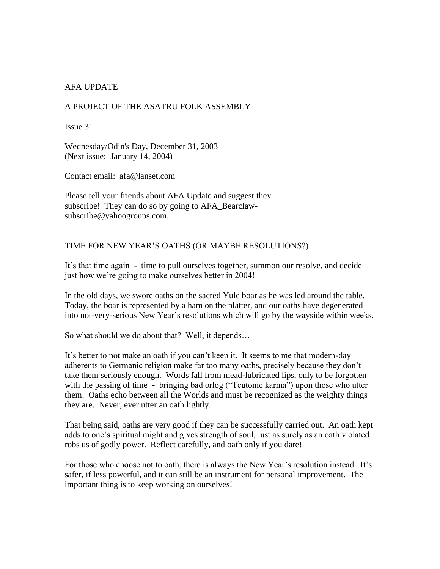# AFA UPDATE

## A PROJECT OF THE ASATRU FOLK ASSEMBLY

Issue 31

Wednesday/Odin's Day, December 31, 2003 (Next issue: January 14, 2004)

Contact email: afa@lanset.com

Please tell your friends about AFA Update and suggest they subscribe! They can do so by going to AFA\_Bearclawsubscribe@yahoogroups.com.

### TIME FOR NEW YEAR'S OATHS (OR MAYBE RESOLUTIONS?)

It's that time again - time to pull ourselves together, summon our resolve, and decide just how we're going to make ourselves better in 2004!

In the old days, we swore oaths on the sacred Yule boar as he was led around the table. Today, the boar is represented by a ham on the platter, and our oaths have degenerated into not-very-serious New Year's resolutions which will go by the wayside within weeks.

So what should we do about that? Well, it depends…

It's better to not make an oath if you can't keep it. It seems to me that modern-day adherents to Germanic religion make far too many oaths, precisely because they don't take them seriously enough. Words fall from mead-lubricated lips, only to be forgotten with the passing of time - bringing bad orlog ("Teutonic karma") upon those who utter them. Oaths echo between all the Worlds and must be recognized as the weighty things they are. Never, ever utter an oath lightly.

That being said, oaths are very good if they can be successfully carried out. An oath kept adds to one's spiritual might and gives strength of soul, just as surely as an oath violated robs us of godly power. Reflect carefully, and oath only if you dare!

For those who choose not to oath, there is always the New Year's resolution instead. It's safer, if less powerful, and it can still be an instrument for personal improvement. The important thing is to keep working on ourselves!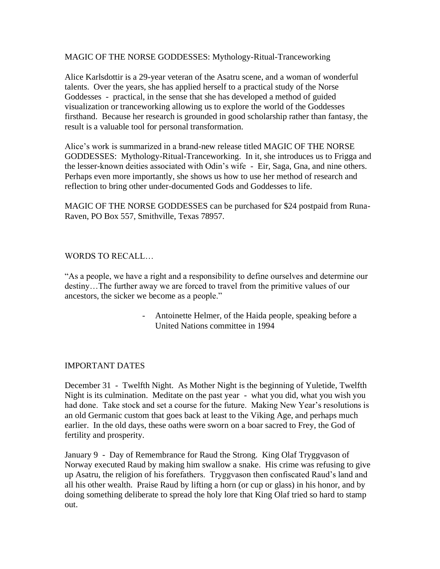MAGIC OF THE NORSE GODDESSES: Mythology-Ritual-Tranceworking

Alice Karlsdottir is a 29-year veteran of the Asatru scene, and a woman of wonderful talents. Over the years, she has applied herself to a practical study of the Norse Goddesses - practical, in the sense that she has developed a method of guided visualization or tranceworking allowing us to explore the world of the Goddesses firsthand. Because her research is grounded in good scholarship rather than fantasy, the result is a valuable tool for personal transformation.

Alice's work is summarized in a brand-new release titled MAGIC OF THE NORSE GODDESSES: Mythology-Ritual-Tranceworking. In it, she introduces us to Frigga and the lesser-known deities associated with Odin's wife - Eir, Saga, Gna, and nine others. Perhaps even more importantly, she shows us how to use her method of research and reflection to bring other under-documented Gods and Goddesses to life.

MAGIC OF THE NORSE GODDESSES can be purchased for \$24 postpaid from Runa-Raven, PO Box 557, Smithville, Texas 78957.

# WORDS TO RECALL…

"As a people, we have a right and a responsibility to define ourselves and determine our destiny…The further away we are forced to travel from the primitive values of our ancestors, the sicker we become as a people."

> - Antoinette Helmer, of the Haida people, speaking before a United Nations committee in 1994

### IMPORTANT DATES

December 31 - Twelfth Night. As Mother Night is the beginning of Yuletide, Twelfth Night is its culmination. Meditate on the past year - what you did, what you wish you had done. Take stock and set a course for the future. Making New Year's resolutions is an old Germanic custom that goes back at least to the Viking Age, and perhaps much earlier. In the old days, these oaths were sworn on a boar sacred to Frey, the God of fertility and prosperity.

January 9 - Day of Remembrance for Raud the Strong. King Olaf Tryggvason of Norway executed Raud by making him swallow a snake. His crime was refusing to give up Asatru, the religion of his forefathers. Tryggvason then confiscated Raud's land and all his other wealth. Praise Raud by lifting a horn (or cup or glass) in his honor, and by doing something deliberate to spread the holy lore that King Olaf tried so hard to stamp out.